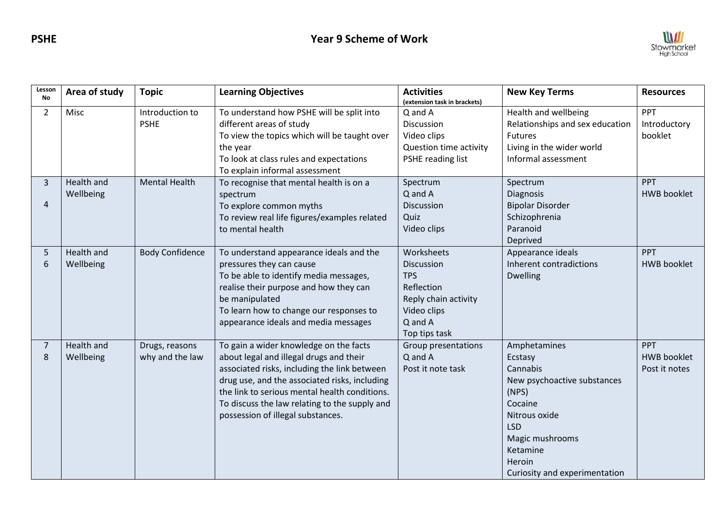

| Lesson<br><b>No</b> | Area of study           | <b>Topic</b>                      | <b>Learning Objectives</b>                                                                                                                                                                                                                                                                                                | <b>Activities</b><br>(extension task in brackets)                                                                                  | <b>New Key Terms</b>                                                                                                                                                                            | <b>Resources</b>                                  |
|---------------------|-------------------------|-----------------------------------|---------------------------------------------------------------------------------------------------------------------------------------------------------------------------------------------------------------------------------------------------------------------------------------------------------------------------|------------------------------------------------------------------------------------------------------------------------------------|-------------------------------------------------------------------------------------------------------------------------------------------------------------------------------------------------|---------------------------------------------------|
| $\overline{2}$      | Misc                    | Introduction to<br><b>PSHE</b>    | To understand how PSHE will be split into<br>different areas of study<br>To view the topics which will be taught over<br>the year<br>To look at class rules and expectations<br>To explain informal assessment                                                                                                            | Q and A<br>Discussion<br>Video clips<br>Question time activity<br>PSHE reading list                                                | Health and wellbeing<br>Relationships and sex education<br>Futures<br>Living in the wider world<br>Informal assessment                                                                          | PPT<br>Introductory<br>booklet                    |
| 3<br>$\overline{4}$ | Health and<br>Wellbeing | <b>Mental Health</b>              | To recognise that mental health is on a<br>spectrum<br>To explore common myths<br>To review real life figures/examples related<br>to mental health                                                                                                                                                                        | Spectrum<br>Q and A<br><b>Discussion</b><br>Quiz<br>Video clips                                                                    | Spectrum<br>Diagnosis<br><b>Bipolar Disorder</b><br>Schizophrenia<br>Paranoid<br>Deprived                                                                                                       | <b>PPT</b><br><b>HWB booklet</b>                  |
| 5<br>6              | Health and<br>Wellbeing | <b>Body Confidence</b>            | To understand appearance ideals and the<br>pressures they can cause<br>To be able to identify media messages,<br>realise their purpose and how they can<br>be manipulated<br>To learn how to change our responses to<br>appearance ideals and media messages                                                              | Worksheets<br><b>Discussion</b><br><b>TPS</b><br>Reflection<br>Reply chain activity<br>Video clips<br>$Q$ and $A$<br>Top tips task | Appearance ideals<br>Inherent contradictions<br><b>Dwelling</b>                                                                                                                                 | <b>PPT</b><br><b>HWB booklet</b>                  |
| $\overline{7}$<br>8 | Health and<br>Wellbeing | Drugs, reasons<br>why and the law | To gain a wider knowledge on the facts<br>about legal and illegal drugs and their<br>associated risks, including the link between<br>drug use, and the associated risks, including<br>the link to serious mental health conditions.<br>To discuss the law relating to the supply and<br>possession of illegal substances. | Group presentations<br>Q and A<br>Post it note task                                                                                | Amphetamines<br>Ecstasy<br>Cannabis<br>New psychoactive substances<br>(NPS)<br>Cocaine<br>Nitrous oxide<br><b>LSD</b><br>Magic mushrooms<br>Ketamine<br>Heroin<br>Curiosity and experimentation | <b>PPT</b><br><b>HWB booklet</b><br>Post it notes |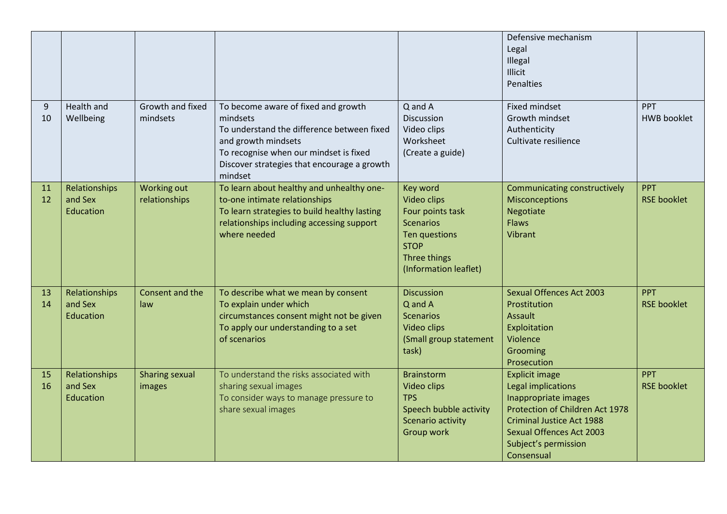|          |                                       |                                 |                                                                                                                                                                                                                          |                                                                                                                                          | Defensive mechanism<br>Legal<br>Illegal<br>Illicit<br>Penalties                                                                                                                                                     |                                  |
|----------|---------------------------------------|---------------------------------|--------------------------------------------------------------------------------------------------------------------------------------------------------------------------------------------------------------------------|------------------------------------------------------------------------------------------------------------------------------------------|---------------------------------------------------------------------------------------------------------------------------------------------------------------------------------------------------------------------|----------------------------------|
| 9<br>10  | <b>Health and</b><br>Wellbeing        | Growth and fixed<br>mindsets    | To become aware of fixed and growth<br>mindsets<br>To understand the difference between fixed<br>and growth mindsets<br>To recognise when our mindset is fixed<br>Discover strategies that encourage a growth<br>mindset | Q and A<br>Discussion<br>Video clips<br>Worksheet<br>(Create a guide)                                                                    | <b>Fixed mindset</b><br>Growth mindset<br>Authenticity<br>Cultivate resilience                                                                                                                                      | PPT<br><b>HWB booklet</b>        |
| 11<br>12 | Relationships<br>and Sex<br>Education | Working out<br>relationships    | To learn about healthy and unhealthy one-<br>to-one intimate relationships<br>To learn strategies to build healthy lasting<br>relationships including accessing support<br>where needed                                  | Key word<br>Video clips<br>Four points task<br><b>Scenarios</b><br>Ten questions<br><b>STOP</b><br>Three things<br>(Information leaflet) | Communicating constructively<br><b>Misconceptions</b><br><b>Negotiate</b><br><b>Flaws</b><br>Vibrant                                                                                                                | PPT<br><b>RSE booklet</b>        |
| 13<br>14 | Relationships<br>and Sex<br>Education | Consent and the<br>law          | To describe what we mean by consent<br>To explain under which<br>circumstances consent might not be given<br>To apply our understanding to a set<br>of scenarios                                                         | <b>Discussion</b><br>Q and A<br><b>Scenarios</b><br>Video clips<br>(Small group statement<br>task)                                       | <b>Sexual Offences Act 2003</b><br>Prostitution<br><b>Assault</b><br>Exploitation<br>Violence<br>Grooming<br>Prosecution                                                                                            | <b>PPT</b><br><b>RSE booklet</b> |
| 15<br>16 | Relationships<br>and Sex<br>Education | <b>Sharing sexual</b><br>images | To understand the risks associated with<br>sharing sexual images<br>To consider ways to manage pressure to<br>share sexual images                                                                                        | <b>Brainstorm</b><br>Video clips<br><b>TPS</b><br>Speech bubble activity<br>Scenario activity<br>Group work                              | <b>Explicit image</b><br>Legal implications<br>Inappropriate images<br>Protection of Children Act 1978<br><b>Criminal Justice Act 1988</b><br><b>Sexual Offences Act 2003</b><br>Subject's permission<br>Consensual | <b>PPT</b><br><b>RSE booklet</b> |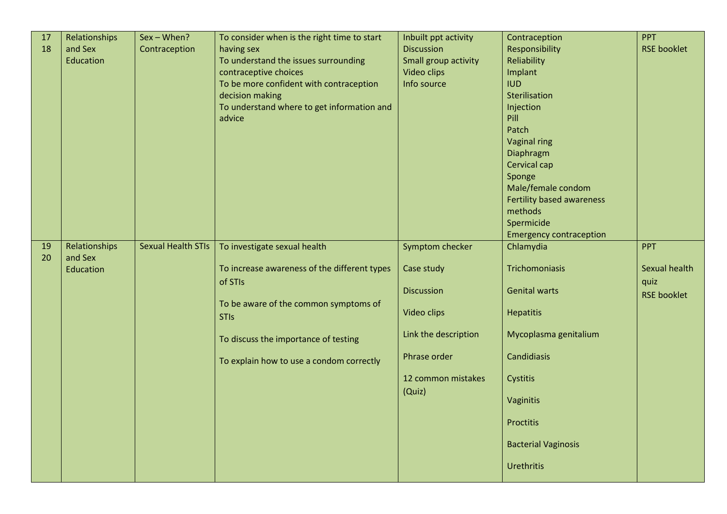| 17<br>18 | Relationships<br>and Sex<br>Education | Sex - When?<br>Contraception | To consider when is the right time to start<br>having sex<br>To understand the issues surrounding<br>contraceptive choices<br>To be more confident with contraception<br>decision making<br>To understand where to get information and<br>advice | Inbuilt ppt activity<br><b>Discussion</b><br>Small group activity<br>Video clips<br>Info source                                           | Contraception<br>Responsibility<br>Reliability<br>Implant<br><b>IUD</b><br>Sterilisation<br>Injection<br>Pill<br>Patch<br><b>Vaginal ring</b><br>Diaphragm<br>Cervical cap<br>Sponge<br>Male/female condom<br>Fertility based awareness                                    | <b>PPT</b><br><b>RSE booklet</b>                          |
|----------|---------------------------------------|------------------------------|--------------------------------------------------------------------------------------------------------------------------------------------------------------------------------------------------------------------------------------------------|-------------------------------------------------------------------------------------------------------------------------------------------|----------------------------------------------------------------------------------------------------------------------------------------------------------------------------------------------------------------------------------------------------------------------------|-----------------------------------------------------------|
| 19<br>20 | Relationships<br>and Sex<br>Education | <b>Sexual Health STIs</b>    | To investigate sexual health<br>To increase awareness of the different types<br>of STIs<br>To be aware of the common symptoms of<br><b>STIs</b><br>To discuss the importance of testing<br>To explain how to use a condom correctly              | Symptom checker<br>Case study<br><b>Discussion</b><br>Video clips<br>Link the description<br>Phrase order<br>12 common mistakes<br>(Quiz) | methods<br>Spermicide<br><b>Emergency contraception</b><br>Chlamydia<br>Trichomoniasis<br><b>Genital warts</b><br><b>Hepatitis</b><br>Mycoplasma genitalium<br>Candidiasis<br>Cystitis<br>Vaginitis<br><b>Proctitis</b><br><b>Bacterial Vaginosis</b><br><b>Urethritis</b> | <b>PPT</b><br>Sexual health<br>quiz<br><b>RSE booklet</b> |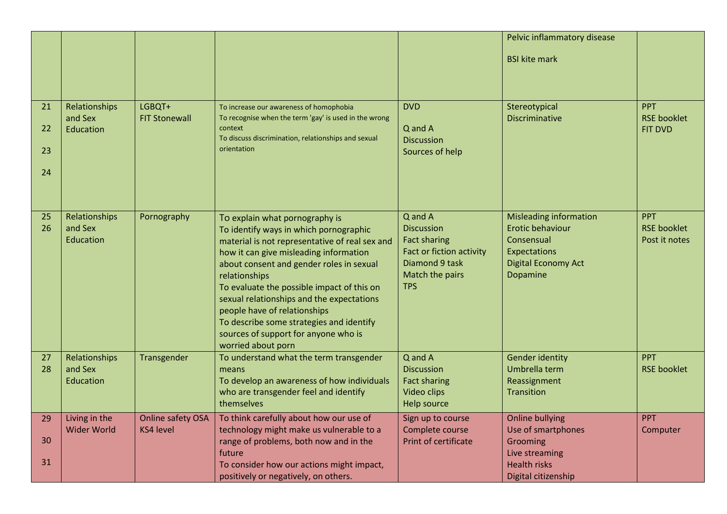|          |                                     |                                       |                                                                                                  |                                          | Pelvic inflammatory disease                  |                                     |
|----------|-------------------------------------|---------------------------------------|--------------------------------------------------------------------------------------------------|------------------------------------------|----------------------------------------------|-------------------------------------|
|          |                                     |                                       |                                                                                                  |                                          | <b>BSI kite mark</b>                         |                                     |
|          |                                     |                                       |                                                                                                  |                                          |                                              |                                     |
| 21       | Relationships<br>and Sex            | LGBQT+<br><b>FIT Stonewall</b>        | To increase our awareness of homophobia<br>To recognise when the term 'gay' is used in the wrong | <b>DVD</b>                               | Stereotypical<br><b>Discriminative</b>       | <b>PPT</b><br><b>RSE booklet</b>    |
| 22       | Education                           |                                       | context<br>To discuss discrimination, relationships and sexual                                   | Q and A                                  |                                              | <b>FIT DVD</b>                      |
| 23       |                                     |                                       | orientation                                                                                      | <b>Discussion</b><br>Sources of help     |                                              |                                     |
| 24       |                                     |                                       |                                                                                                  |                                          |                                              |                                     |
|          |                                     |                                       |                                                                                                  |                                          |                                              |                                     |
| 25       | Relationships                       | Pornography                           | To explain what pornography is                                                                   | Q and A                                  | <b>Misleading information</b>                | <b>PPT</b>                          |
| 26       | and Sex<br>Education                |                                       | To identify ways in which pornographic                                                           | <b>Discussion</b><br><b>Fact sharing</b> | Erotic behaviour<br>Consensual               | <b>RSE booklet</b><br>Post it notes |
|          |                                     |                                       | material is not representative of real sex and<br>how it can give misleading information         | <b>Fact or fiction activity</b>          | Expectations                                 |                                     |
|          |                                     |                                       | about consent and gender roles in sexual                                                         | Diamond 9 task                           | <b>Digital Economy Act</b>                   |                                     |
|          |                                     |                                       | relationships<br>To evaluate the possible impact of this on                                      | Match the pairs<br><b>TPS</b>            | Dopamine                                     |                                     |
|          |                                     |                                       | sexual relationships and the expectations                                                        |                                          |                                              |                                     |
|          |                                     |                                       | people have of relationships                                                                     |                                          |                                              |                                     |
|          |                                     |                                       | To describe some strategies and identify<br>sources of support for anyone who is                 |                                          |                                              |                                     |
|          |                                     |                                       | worried about porn                                                                               |                                          |                                              |                                     |
| 27<br>28 | Relationships<br>and Sex            | Transgender                           | To understand what the term transgender<br>means                                                 | Q and A<br><b>Discussion</b>             | <b>Gender identity</b><br>Umbrella term      | <b>PPT</b><br><b>RSE booklet</b>    |
|          | Education                           |                                       | To develop an awareness of how individuals                                                       | <b>Fact sharing</b>                      | Reassignment                                 |                                     |
|          |                                     |                                       | who are transgender feel and identify                                                            | Video clips                              | Transition                                   |                                     |
|          |                                     |                                       | themselves                                                                                       | Help source                              |                                              |                                     |
| 29       | Living in the<br><b>Wider World</b> | Online safety OSA<br><b>KS4 level</b> | To think carefully about how our use of<br>technology might make us vulnerable to a              | Sign up to course<br>Complete course     | <b>Online bullying</b><br>Use of smartphones | <b>PPT</b><br>Computer              |
| 30       |                                     |                                       | range of problems, both now and in the                                                           | <b>Print of certificate</b>              | Grooming                                     |                                     |
| 31       |                                     |                                       | future                                                                                           |                                          | Live streaming                               |                                     |
|          |                                     |                                       | To consider how our actions might impact,<br>positively or negatively, on others.                |                                          | <b>Health risks</b><br>Digital citizenship   |                                     |
|          |                                     |                                       |                                                                                                  |                                          |                                              |                                     |